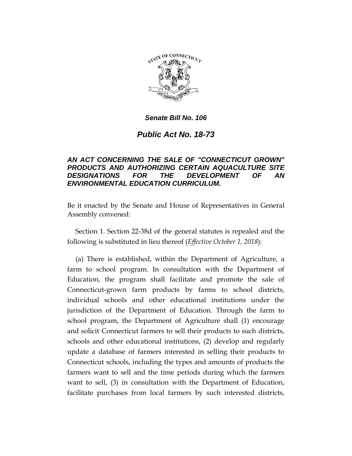

### *Senate Bill No. 106*

# *Public Act No. 18-73*

### *AN ACT CONCERNING THE SALE OF "CONNECTICUT GROWN" PRODUCTS AND AUTHORIZING CERTAIN AQUACULTURE SITE DESIGNATIONS FOR THE DEVELOPMENT OF AN ENVIRONMENTAL EDUCATION CURRICULUM.*

Be it enacted by the Senate and House of Representatives in General Assembly convened:

Section 1. Section 22-38d of the general statutes is repealed and the following is substituted in lieu thereof (*Effective October 1, 2018*):

(a) There is established, within the Department of Agriculture, a farm to school program. In consultation with the Department of Education, the program shall facilitate and promote the sale of Connecticut-grown farm products by farms to school districts, individual schools and other educational institutions under the jurisdiction of the Department of Education. Through the farm to school program, the Department of Agriculture shall (1) encourage and solicit Connecticut farmers to sell their products to such districts, schools and other educational institutions, (2) develop and regularly update a database of farmers interested in selling their products to Connecticut schools, including the types and amounts of products the farmers want to sell and the time periods during which the farmers want to sell, (3) in consultation with the Department of Education, facilitate purchases from local farmers by such interested districts,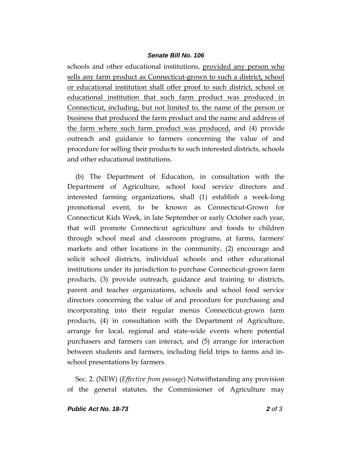#### *Senate Bill No. 106*

schools and other educational institutions, provided any person who sells any farm product as Connecticut-grown to such a district, school or educational institution shall offer proof to such district, school or educational institution that such farm product was produced in Connecticut, including, but not limited to, the name of the person or business that produced the farm product and the name and address of the farm where such farm product was produced, and (4) provide outreach and guidance to farmers concerning the value of and procedure for selling their products to such interested districts, schools and other educational institutions.

(b) The Department of Education, in consultation with the Department of Agriculture, school food service directors and interested farming organizations, shall (1) establish a week-long promotional event, to be known as Connecticut-Grown for Connecticut Kids Week, in late September or early October each year, that will promote Connecticut agriculture and foods to children through school meal and classroom programs, at farms, farmers' markets and other locations in the community, (2) encourage and solicit school districts, individual schools and other educational institutions under its jurisdiction to purchase Connecticut-grown farm products, (3) provide outreach, guidance and training to districts, parent and teacher organizations, schools and school food service directors concerning the value of and procedure for purchasing and incorporating into their regular menus Connecticut-grown farm products, (4) in consultation with the Department of Agriculture, arrange for local, regional and state-wide events where potential purchasers and farmers can interact, and (5) arrange for interaction between students and farmers, including field trips to farms and inschool presentations by farmers.

Sec. 2. (NEW) (*Effective from passage*) Notwithstanding any provision of the general statutes, the Commissioner of Agriculture may